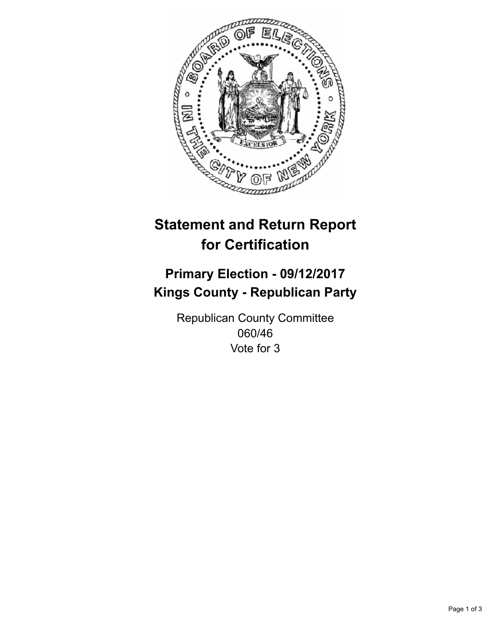

## **Statement and Return Report for Certification**

## **Primary Election - 09/12/2017 Kings County - Republican Party**

Republican County Committee 060/46 Vote for 3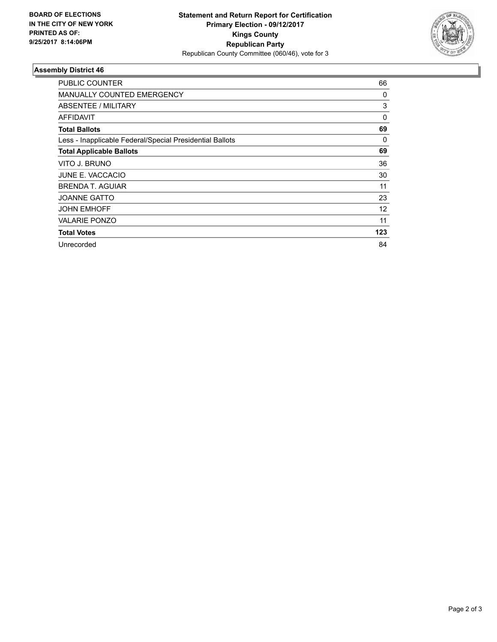

## **Assembly District 46**

| <b>PUBLIC COUNTER</b>                                    | 66  |
|----------------------------------------------------------|-----|
| <b>MANUALLY COUNTED EMERGENCY</b>                        | 0   |
| ABSENTEE / MILITARY                                      | 3   |
| AFFIDAVIT                                                | 0   |
| <b>Total Ballots</b>                                     | 69  |
| Less - Inapplicable Federal/Special Presidential Ballots | 0   |
| <b>Total Applicable Ballots</b>                          | 69  |
| VITO J. BRUNO                                            | 36  |
| <b>JUNE E. VACCACIO</b>                                  | 30  |
| BRENDA T. AGUIAR                                         | 11  |
| <b>JOANNE GATTO</b>                                      | 23  |
| <b>JOHN EMHOFF</b>                                       | 12  |
| <b>VALARIE PONZO</b>                                     | 11  |
| <b>Total Votes</b>                                       | 123 |
| Unrecorded                                               | 84  |